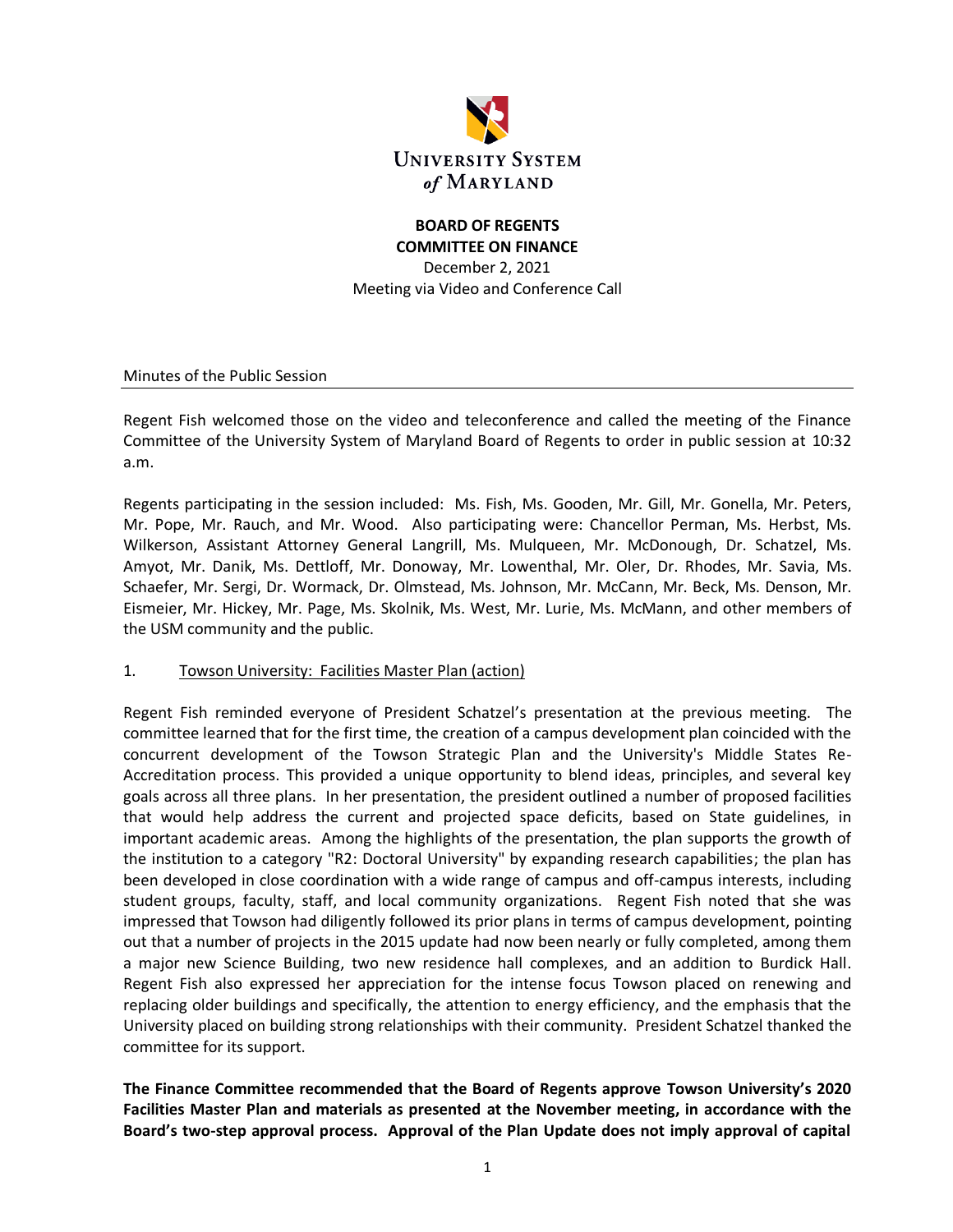

# **BOARD OF REGENTS COMMITTEE ON FINANCE**

December 2, 2021 Meeting via Video and Conference Call

Minutes of the Public Session

Regent Fish welcomed those on the video and teleconference and called the meeting of the Finance Committee of the University System of Maryland Board of Regents to order in public session at 10:32 a.m.

Regents participating in the session included: Ms. Fish, Ms. Gooden, Mr. Gill, Mr. Gonella, Mr. Peters, Mr. Pope, Mr. Rauch, and Mr. Wood. Also participating were: Chancellor Perman, Ms. Herbst, Ms. Wilkerson, Assistant Attorney General Langrill, Ms. Mulqueen, Mr. McDonough, Dr. Schatzel, Ms. Amyot, Mr. Danik, Ms. Dettloff, Mr. Donoway, Mr. Lowenthal, Mr. Oler, Dr. Rhodes, Mr. Savia, Ms. Schaefer, Mr. Sergi, Dr. Wormack, Dr. Olmstead, Ms. Johnson, Mr. McCann, Mr. Beck, Ms. Denson, Mr. Eismeier, Mr. Hickey, Mr. Page, Ms. Skolnik, Ms. West, Mr. Lurie, Ms. McMann, and other members of the USM community and the public.

#### 1. Towson University: Facilities Master Plan (action)

Regent Fish reminded everyone of President Schatzel's presentation at the previous meeting. The committee learned that for the first time, the creation of a campus development plan coincided with the concurrent development of the Towson Strategic Plan and the University's Middle States Re-Accreditation process. This provided a unique opportunity to blend ideas, principles, and several key goals across all three plans. In her presentation, the president outlined a number of proposed facilities that would help address the current and projected space deficits, based on State guidelines, in important academic areas. Among the highlights of the presentation, the plan supports the growth of the institution to a category "R2: Doctoral University" by expanding research capabilities; the plan has been developed in close coordination with a wide range of campus and off-campus interests, including student groups, faculty, staff, and local community organizations. Regent Fish noted that she was impressed that Towson had diligently followed its prior plans in terms of campus development, pointing out that a number of projects in the 2015 update had now been nearly or fully completed, among them a major new Science Building, two new residence hall complexes, and an addition to Burdick Hall. Regent Fish also expressed her appreciation for the intense focus Towson placed on renewing and replacing older buildings and specifically, the attention to energy efficiency, and the emphasis that the University placed on building strong relationships with their community. President Schatzel thanked the committee for its support.

**The Finance Committee recommended that the Board of Regents approve Towson University's 2020 Facilities Master Plan and materials as presented at the November meeting, in accordance with the Board's two-step approval process. Approval of the Plan Update does not imply approval of capital**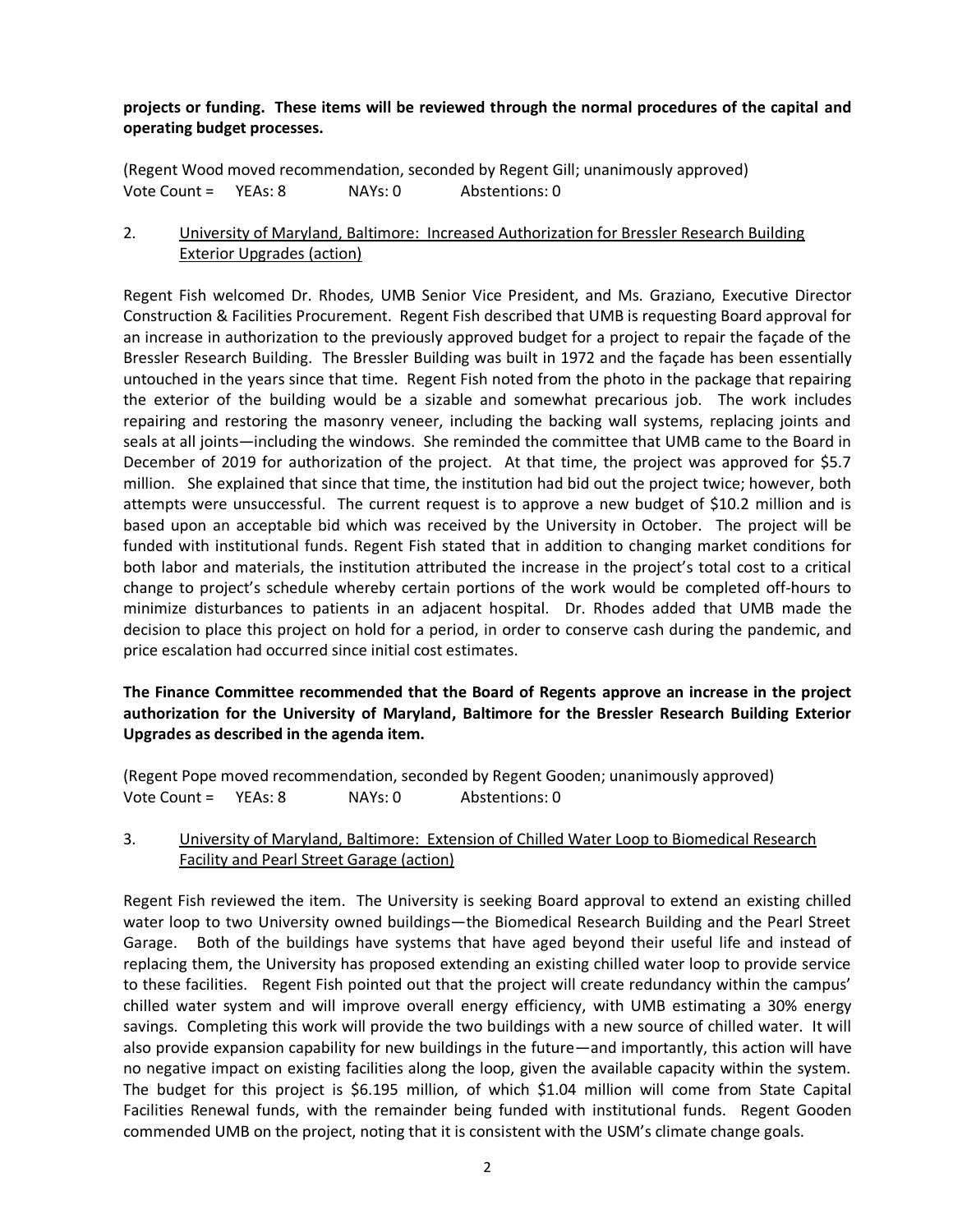### **projects or funding. These items will be reviewed through the normal procedures of the capital and operating budget processes.**

(Regent Wood moved recommendation, seconded by Regent Gill; unanimously approved) Vote Count = YEAs: 8 NAYs: 0 Abstentions: 0

### 2. University of Maryland, Baltimore: Increased Authorization for Bressler Research Building Exterior Upgrades (action)

Regent Fish welcomed Dr. Rhodes, UMB Senior Vice President, and Ms. Graziano, Executive Director Construction & Facilities Procurement. Regent Fish described that UMB is requesting Board approval for an increase in authorization to the previously approved budget for a project to repair the façade of the Bressler Research Building. The Bressler Building was built in 1972 and the façade has been essentially untouched in the years since that time. Regent Fish noted from the photo in the package that repairing the exterior of the building would be a sizable and somewhat precarious job. The work includes repairing and restoring the masonry veneer, including the backing wall systems, replacing joints and seals at all joints—including the windows. She reminded the committee that UMB came to the Board in December of 2019 for authorization of the project. At that time, the project was approved for \$5.7 million. She explained that since that time, the institution had bid out the project twice; however, both attempts were unsuccessful. The current request is to approve a new budget of \$10.2 million and is based upon an acceptable bid which was received by the University in October. The project will be funded with institutional funds. Regent Fish stated that in addition to changing market conditions for both labor and materials, the institution attributed the increase in the project's total cost to a critical change to project's schedule whereby certain portions of the work would be completed off-hours to minimize disturbances to patients in an adjacent hospital. Dr. Rhodes added that UMB made the decision to place this project on hold for a period, in order to conserve cash during the pandemic, and price escalation had occurred since initial cost estimates.

### **The Finance Committee recommended that the Board of Regents approve an increase in the project authorization for the University of Maryland, Baltimore for the Bressler Research Building Exterior Upgrades as described in the agenda item.**

(Regent Pope moved recommendation, seconded by Regent Gooden; unanimously approved) Vote Count = YEAs: 8 NAYs: 0 Abstentions: 0

### 3. University of Maryland, Baltimore: Extension of Chilled Water Loop to Biomedical Research Facility and Pearl Street Garage (action)

Regent Fish reviewed the item. The University is seeking Board approval to extend an existing chilled water loop to two University owned buildings—the Biomedical Research Building and the Pearl Street Garage. Both of the buildings have systems that have aged beyond their useful life and instead of replacing them, the University has proposed extending an existing chilled water loop to provide service to these facilities. Regent Fish pointed out that the project will create redundancy within the campus' chilled water system and will improve overall energy efficiency, with UMB estimating a 30% energy savings. Completing this work will provide the two buildings with a new source of chilled water. It will also provide expansion capability for new buildings in the future—and importantly, this action will have no negative impact on existing facilities along the loop, given the available capacity within the system. The budget for this project is \$6.195 million, of which \$1.04 million will come from State Capital Facilities Renewal funds, with the remainder being funded with institutional funds. Regent Gooden commended UMB on the project, noting that it is consistent with the USM's climate change goals.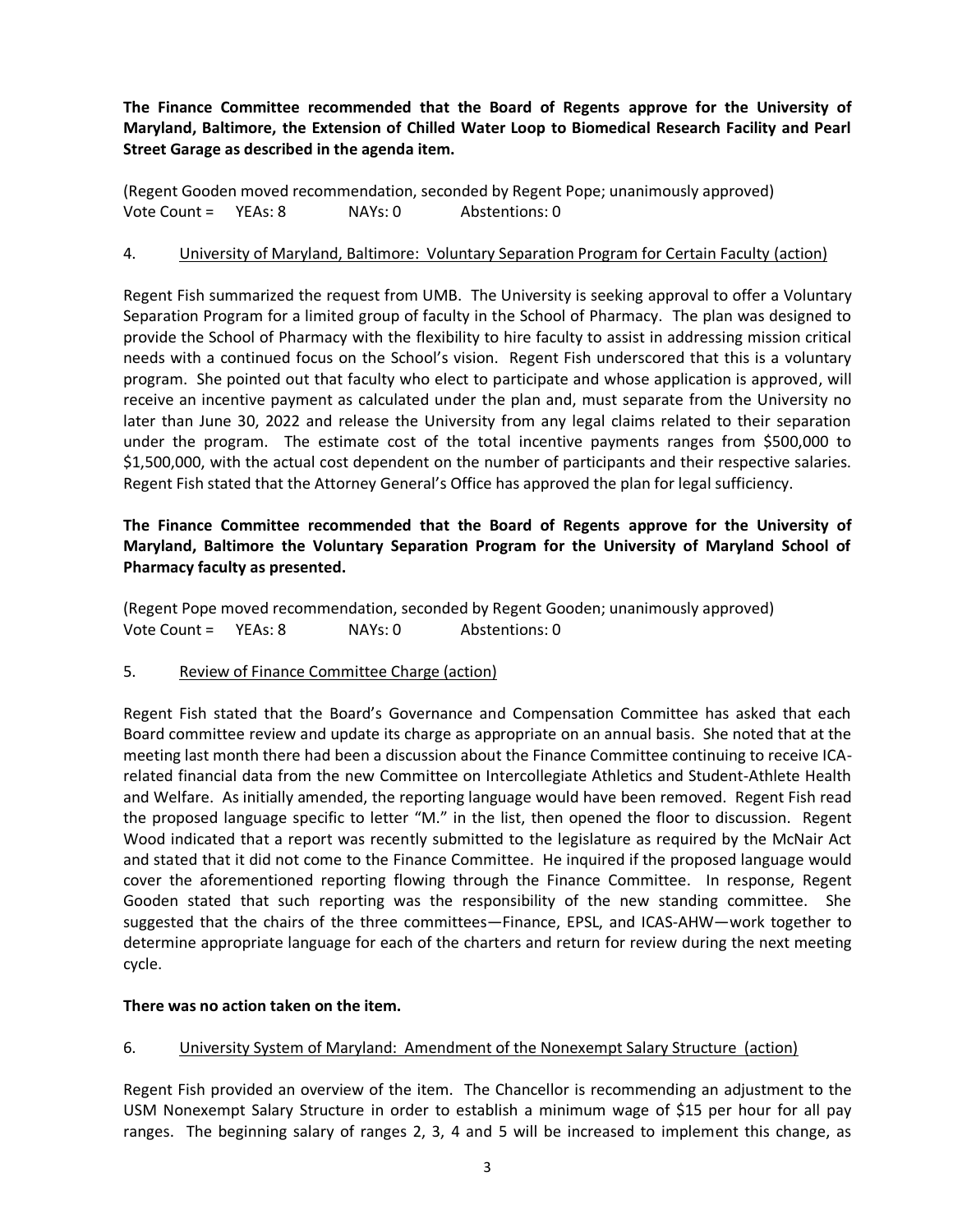**The Finance Committee recommended that the Board of Regents approve for the University of Maryland, Baltimore, the Extension of Chilled Water Loop to Biomedical Research Facility and Pearl Street Garage as described in the agenda item.**

(Regent Gooden moved recommendation, seconded by Regent Pope; unanimously approved) Vote Count = YEAs: 8 NAYs: 0 Abstentions: 0

### 4. University of Maryland, Baltimore: Voluntary Separation Program for Certain Faculty (action)

Regent Fish summarized the request from UMB. The University is seeking approval to offer a Voluntary Separation Program for a limited group of faculty in the School of Pharmacy. The plan was designed to provide the School of Pharmacy with the flexibility to hire faculty to assist in addressing mission critical needs with a continued focus on the School's vision. Regent Fish underscored that this is a voluntary program. She pointed out that faculty who elect to participate and whose application is approved, will receive an incentive payment as calculated under the plan and, must separate from the University no later than June 30, 2022 and release the University from any legal claims related to their separation under the program. The estimate cost of the total incentive payments ranges from \$500,000 to \$1,500,000, with the actual cost dependent on the number of participants and their respective salaries. Regent Fish stated that the Attorney General's Office has approved the plan for legal sufficiency.

### **The Finance Committee recommended that the Board of Regents approve for the University of Maryland, Baltimore the Voluntary Separation Program for the University of Maryland School of Pharmacy faculty as presented.**

(Regent Pope moved recommendation, seconded by Regent Gooden; unanimously approved) Vote Count = YEAs: 8 NAYs: 0 Abstentions: 0

### 5. Review of Finance Committee Charge (action)

Regent Fish stated that the Board's Governance and Compensation Committee has asked that each Board committee review and update its charge as appropriate on an annual basis. She noted that at the meeting last month there had been a discussion about the Finance Committee continuing to receive ICArelated financial data from the new Committee on Intercollegiate Athletics and Student-Athlete Health and Welfare. As initially amended, the reporting language would have been removed. Regent Fish read the proposed language specific to letter "M." in the list, then opened the floor to discussion. Regent Wood indicated that a report was recently submitted to the legislature as required by the McNair Act and stated that it did not come to the Finance Committee. He inquired if the proposed language would cover the aforementioned reporting flowing through the Finance Committee. In response, Regent Gooden stated that such reporting was the responsibility of the new standing committee. She suggested that the chairs of the three committees—Finance, EPSL, and ICAS-AHW—work together to determine appropriate language for each of the charters and return for review during the next meeting cycle.

#### **There was no action taken on the item.**

### 6. University System of Maryland: Amendment of the Nonexempt Salary Structure (action)

Regent Fish provided an overview of the item. The Chancellor is recommending an adjustment to the USM Nonexempt Salary Structure in order to establish a minimum wage of \$15 per hour for all pay ranges. The beginning salary of ranges 2, 3, 4 and 5 will be increased to implement this change, as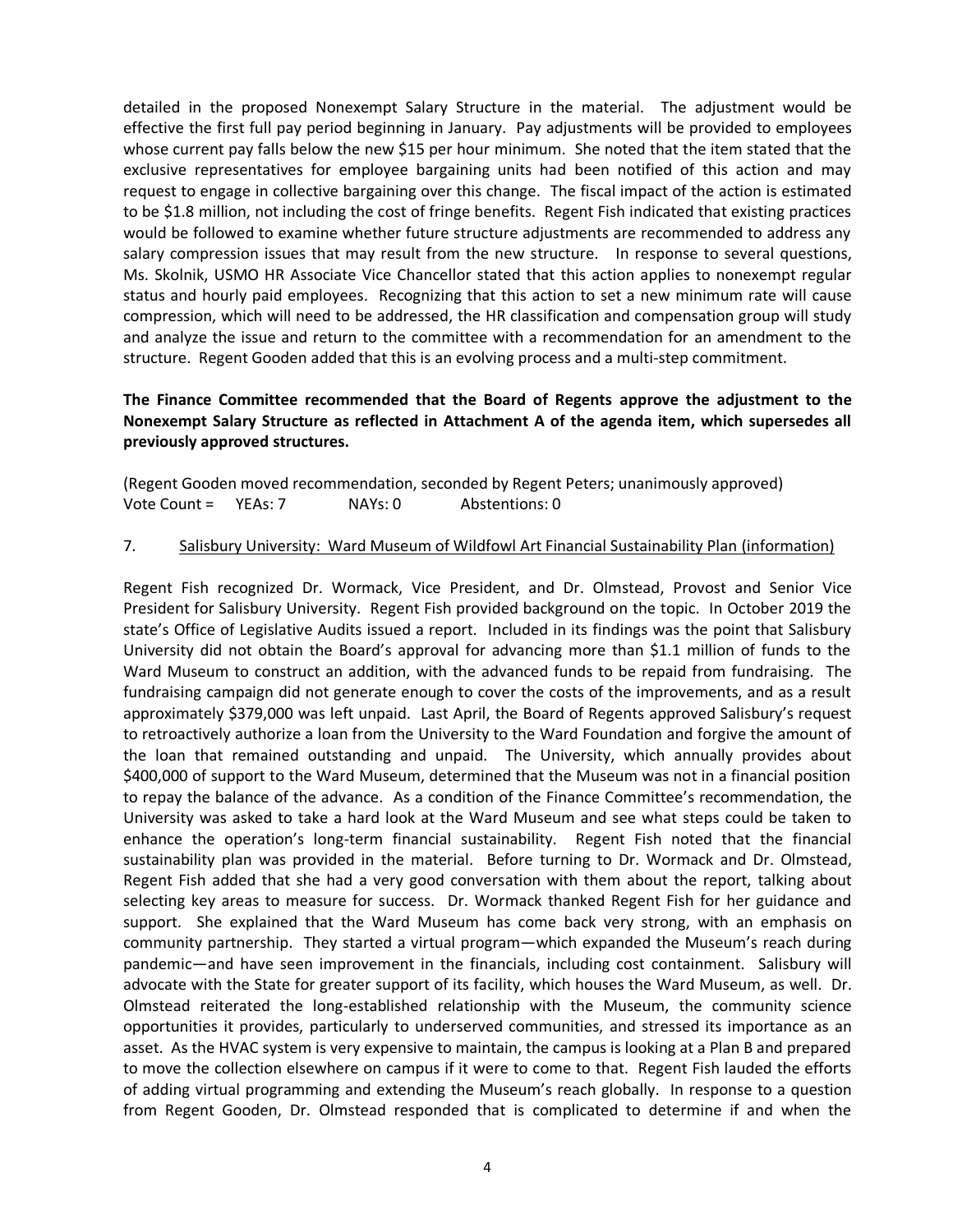detailed in the proposed Nonexempt Salary Structure in the material. The adjustment would be effective the first full pay period beginning in January. Pay adjustments will be provided to employees whose current pay falls below the new \$15 per hour minimum. She noted that the item stated that the exclusive representatives for employee bargaining units had been notified of this action and may request to engage in collective bargaining over this change. The fiscal impact of the action is estimated to be \$1.8 million, not including the cost of fringe benefits. Regent Fish indicated that existing practices would be followed to examine whether future structure adjustments are recommended to address any salary compression issues that may result from the new structure. In response to several questions, Ms. Skolnik, USMO HR Associate Vice Chancellor stated that this action applies to nonexempt regular status and hourly paid employees. Recognizing that this action to set a new minimum rate will cause compression, which will need to be addressed, the HR classification and compensation group will study and analyze the issue and return to the committee with a recommendation for an amendment to the structure. Regent Gooden added that this is an evolving process and a multi-step commitment.

### **The Finance Committee recommended that the Board of Regents approve the adjustment to the Nonexempt Salary Structure as reflected in Attachment A of the agenda item, which supersedes all previously approved structures.**

(Regent Gooden moved recommendation, seconded by Regent Peters; unanimously approved) Vote Count = YEAs: 7 NAYs: 0 Abstentions: 0

#### 7. Salisbury University: Ward Museum of Wildfowl Art Financial Sustainability Plan (information)

Regent Fish recognized Dr. Wormack, Vice President, and Dr. Olmstead, Provost and Senior Vice President for Salisbury University. Regent Fish provided background on the topic. In October 2019 the state's Office of Legislative Audits issued a report. Included in its findings was the point that Salisbury University did not obtain the Board's approval for advancing more than \$1.1 million of funds to the Ward Museum to construct an addition, with the advanced funds to be repaid from fundraising. The fundraising campaign did not generate enough to cover the costs of the improvements, and as a result approximately \$379,000 was left unpaid. Last April, the Board of Regents approved Salisbury's request to retroactively authorize a loan from the University to the Ward Foundation and forgive the amount of the loan that remained outstanding and unpaid. The University, which annually provides about \$400,000 of support to the Ward Museum, determined that the Museum was not in a financial position to repay the balance of the advance. As a condition of the Finance Committee's recommendation, the University was asked to take a hard look at the Ward Museum and see what steps could be taken to enhance the operation's long-term financial sustainability. Regent Fish noted that the financial sustainability plan was provided in the material. Before turning to Dr. Wormack and Dr. Olmstead, Regent Fish added that she had a very good conversation with them about the report, talking about selecting key areas to measure for success. Dr. Wormack thanked Regent Fish for her guidance and support. She explained that the Ward Museum has come back very strong, with an emphasis on community partnership. They started a virtual program—which expanded the Museum's reach during pandemic—and have seen improvement in the financials, including cost containment. Salisbury will advocate with the State for greater support of its facility, which houses the Ward Museum, as well. Dr. Olmstead reiterated the long-established relationship with the Museum, the community science opportunities it provides, particularly to underserved communities, and stressed its importance as an asset. As the HVAC system is very expensive to maintain, the campus is looking at a Plan B and prepared to move the collection elsewhere on campus if it were to come to that. Regent Fish lauded the efforts of adding virtual programming and extending the Museum's reach globally. In response to a question from Regent Gooden, Dr. Olmstead responded that is complicated to determine if and when the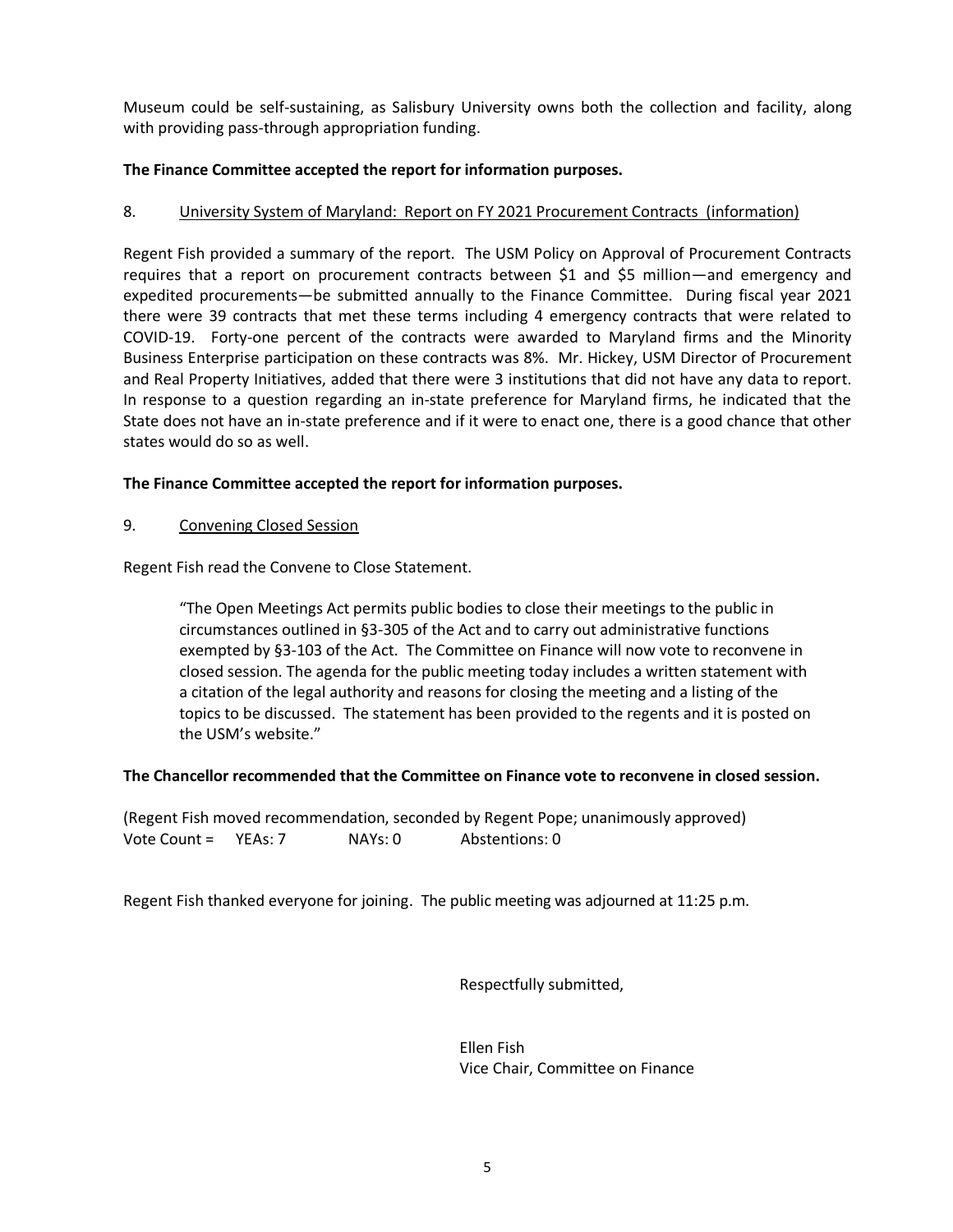Museum could be self-sustaining, as Salisbury University owns both the collection and facility, along with providing pass-through appropriation funding.

### **The Finance Committee accepted the report for information purposes.**

### 8. University System of Maryland: Report on FY 2021 Procurement Contracts (information)

Regent Fish provided a summary of the report. The USM Policy on Approval of Procurement Contracts requires that a report on procurement contracts between \$1 and \$5 million—and emergency and expedited procurements—be submitted annually to the Finance Committee. During fiscal year 2021 there were 39 contracts that met these terms including 4 emergency contracts that were related to COVID-19. Forty-one percent of the contracts were awarded to Maryland firms and the Minority Business Enterprise participation on these contracts was 8%. Mr. Hickey, USM Director of Procurement and Real Property Initiatives, added that there were 3 institutions that did not have any data to report. In response to a question regarding an in-state preference for Maryland firms, he indicated that the State does not have an in-state preference and if it were to enact one, there is a good chance that other states would do so as well.

### **The Finance Committee accepted the report for information purposes.**

#### 9. Convening Closed Session

Regent Fish read the Convene to Close Statement.

"The Open Meetings Act permits public bodies to close their meetings to the public in circumstances outlined in §3-305 of the Act and to carry out administrative functions exempted by §3-103 of the Act. The Committee on Finance will now vote to reconvene in closed session. The agenda for the public meeting today includes a written statement with a citation of the legal authority and reasons for closing the meeting and a listing of the topics to be discussed. The statement has been provided to the regents and it is posted on the USM's website."

#### **The Chancellor recommended that the Committee on Finance vote to reconvene in closed session.**

(Regent Fish moved recommendation, seconded by Regent Pope; unanimously approved) Vote Count = YEAs: 7 NAYs: 0 Abstentions: 0

Regent Fish thanked everyone for joining. The public meeting was adjourned at 11:25 p.m.

Respectfully submitted,

Ellen Fish Vice Chair, Committee on Finance